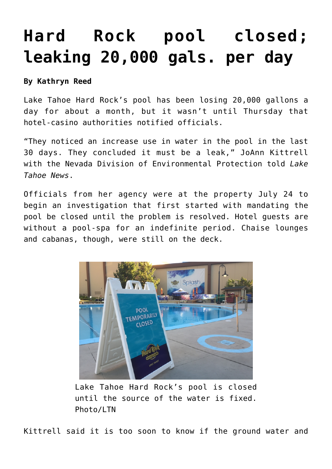## **[Hard Rock pool closed;](https://www.laketahoenews.net/2015/07/hard-rock-pool-closed-leaking-20000-gals-per-day/) [leaking 20,000 gals. per day](https://www.laketahoenews.net/2015/07/hard-rock-pool-closed-leaking-20000-gals-per-day/)**

## **By Kathryn Reed**

Lake Tahoe Hard Rock's pool has been losing 20,000 gallons a day for about a month, but it wasn't until Thursday that hotel-casino authorities notified officials.

"They noticed an increase use in water in the pool in the last 30 days. They concluded it must be a leak," JoAnn Kittrell with the Nevada Division of Environmental Protection told *Lake Tahoe News*.

Officials from her agency were at the property July 24 to begin an investigation that first started with mandating the pool be closed until the problem is resolved. Hotel guests are without a pool-spa for an indefinite period. Chaise lounges and cabanas, though, were still on the deck.



Lake Tahoe Hard Rock's pool is closed until the source of the water is fixed. Photo/LTN

Kittrell said it is too soon to know if the ground water and